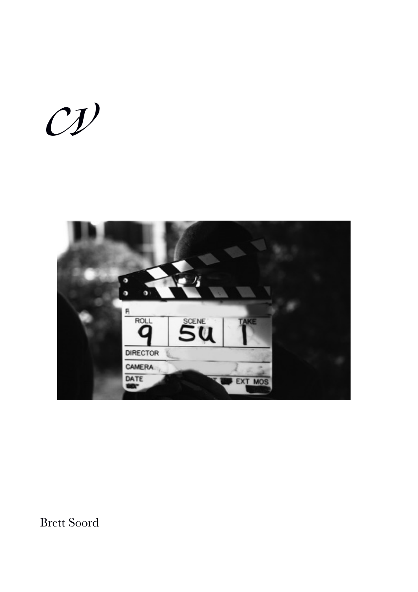$Cyl$ 



Brett Soord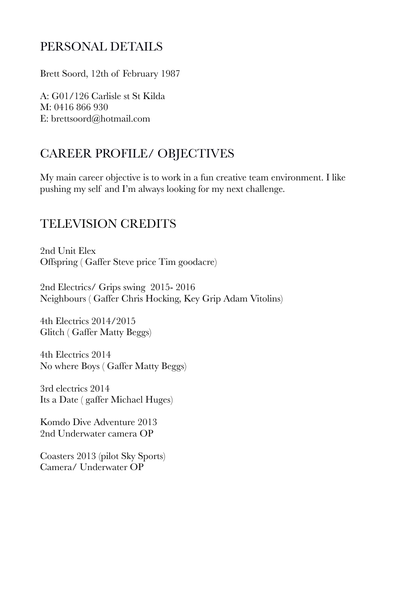## PERSONAL DETAILS

Brett Soord, 12th of February 1987

A: G01/126 Carlisle st St Kilda M: 0416 866 930 E: brettsoord@hotmail.com

# CAREER PROFILE/ OBJECTIVES

My main career objective is to work in a fun creative team environment. I like pushing my self and I'm always looking for my next challenge.

## TELEVISION CREDITS

2nd Unit Elex Offspring ( Gaffer Steve price Tim goodacre)

2nd Electrics/ Grips swing 2015- 2016 Neighbours ( Gaffer Chris Hocking, Key Grip Adam Vitolins)

4th Electrics 2014/2015 Glitch ( Gaffer Matty Beggs)

4th Electrics 2014 No where Boys ( Gaffer Matty Beggs)

3rd electrics 2014 Its a Date ( gaffer Michael Huges)

Komdo Dive Adventure 2013 2nd Underwater camera OP

Coasters 2013 (pilot Sky Sports) Camera/ Underwater OP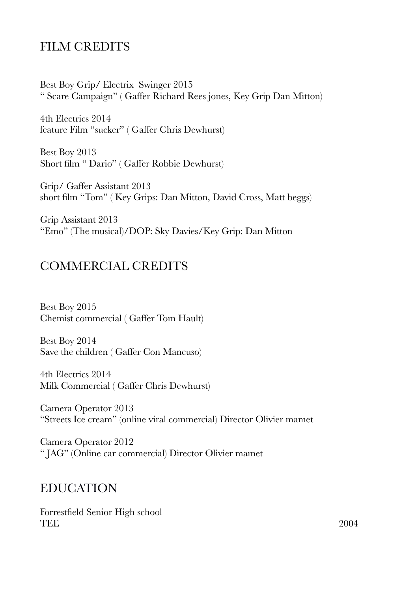## FILM CREDITS

Best Boy Grip/ Electrix Swinger 2015 " Scare Campaign" ( Gaffer Richard Rees jones, Key Grip Dan Mitton)

4th Electrics 2014 feature Film "sucker" ( Gaffer Chris Dewhurst)

Best Boy 2013 Short film " Dario" ( Gaffer Robbie Dewhurst)

Grip/ Gaffer Assistant 2013 short film "Tom" ( Key Grips: Dan Mitton, David Cross, Matt beggs)

Grip Assistant 2013 "Emo" (The musical)/DOP: Sky Davies/Key Grip: Dan Mitton

#### COMMERCIAL CREDITS

Best Boy 2015 Chemist commercial ( Gaffer Tom Hault)

Best Boy 2014 Save the children ( Gaffer Con Mancuso)

4th Electrics 2014 Milk Commercial ( Gaffer Chris Dewhurst)

Camera Operator 2013 "Streets Ice cream" (online viral commercial) Director Olivier mamet

Camera Operator 2012 " JAG" (Online car commercial) Director Olivier mamet

#### EDUCATION

Forrestfield Senior High school TEE  $2004$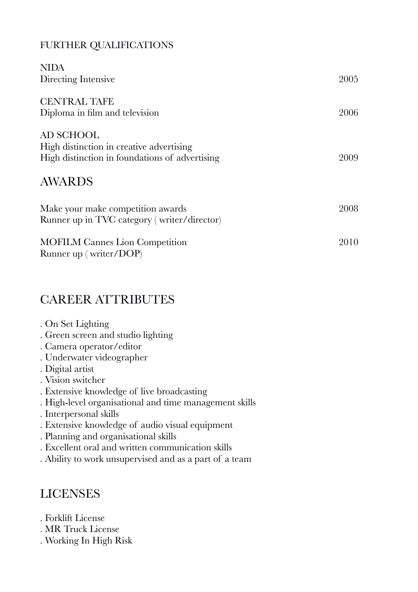#### FURTHER QUALIFICATIONS

| <b>NIDA</b>                                    |      |
|------------------------------------------------|------|
| Directing Intensive                            | 2005 |
| <b>CENTRAL TAFE</b>                            |      |
| Diploma in film and television                 | 2006 |
| AD SCHOOL                                      |      |
| High distinction in creative advertising       |      |
| High distinction in foundations of advertising | 2009 |
| <b>AWARDS</b>                                  |      |
| Make your make competition awards              | 2008 |
| Runner up in TVC category (writer/director)    |      |
| <b>MOFILM Cannes Lion Competition</b>          | 2010 |
| Runner up (writer/DOP)                         |      |

## CAREER ATTRIBUTES

- . On Set Lighting
- . Green screen and studio lighting
- . Camera operator/editor
- . Underwater videographer
- . Digital artist
- . Vision switcher
- . Extensive knowledge of live broadcasting
- . High-level organisational and time management skills
- . Interpersonal skills
- . Extensive knowledge of audio visual equipment
- . Planning and organisational skills
- . Excellent oral and written communication skills
- . Ability to work unsupervised and as a part of a team

## LICENSES

- . Forklift License
- . MR Truck License
- . Working In High Risk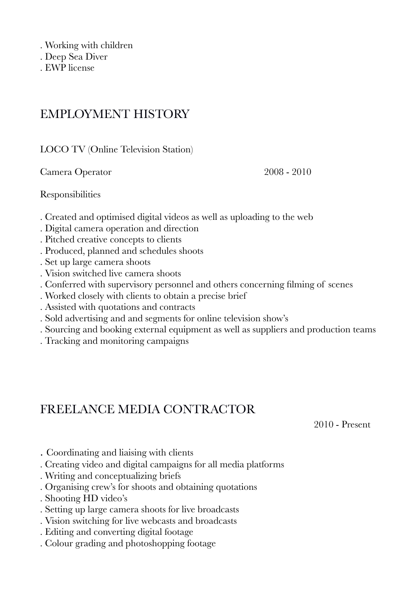- . Working with children
- . Deep Sea Diver
- . EWP license

## EMPLOYMENT HISTORY

LOCO TV (Online Television Station)

Camera Operator 2008 - 2010

Responsibilities

- . Created and optimised digital videos as well as uploading to the web
- . Digital camera operation and direction
- . Pitched creative concepts to clients
- . Produced, planned and schedules shoots
- . Set up large camera shoots
- . Vision switched live camera shoots
- . Conferred with supervisory personnel and others concerning filming of scenes
- . Worked closely with clients to obtain a precise brief
- . Assisted with quotations and contracts
- . Sold advertising and and segments for online television show's
- . Sourcing and booking external equipment as well as suppliers and production teams
- . Tracking and monitoring campaigns

## FREELANCE MEDIA CONTRACTOR

 2010 - Present

- . Coordinating and liaising with clients
- . Creating video and digital campaigns for all media platforms
- . Writing and conceptualizing briefs
- . Organising crew's for shoots and obtaining quotations
- . Shooting HD video's
- . Setting up large camera shoots for live broadcasts
- . Vision switching for live webcasts and broadcasts
- . Editing and converting digital footage
- . Colour grading and photoshopping footage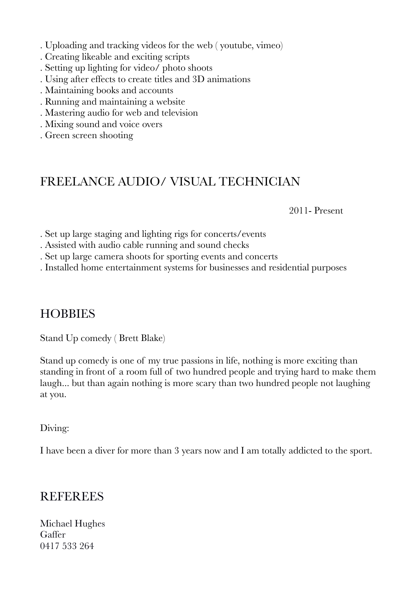- . Uploading and tracking videos for the web ( youtube, vimeo)
- . Creating likeable and exciting scripts
- . Setting up lighting for video/ photo shoots
- . Using after effects to create titles and 3D animations
- . Maintaining books and accounts
- . Running and maintaining a website
- . Mastering audio for web and television
- . Mixing sound and voice overs
- . Green screen shooting

## FREELANCE AUDIO/ VISUAL TECHNICIAN

 2011- Present

. Set up large staging and lighting rigs for concerts/events

- . Assisted with audio cable running and sound checks
- . Set up large camera shoots for sporting events and concerts
- . Installed home entertainment systems for businesses and residential purposes

#### **HOBBIES**

Stand Up comedy ( Brett Blake)

Stand up comedy is one of my true passions in life, nothing is more exciting than standing in front of a room full of two hundred people and trying hard to make them laugh... but than again nothing is more scary than two hundred people not laughing at you.

Diving:

I have been a diver for more than 3 years now and I am totally addicted to the sport.

#### **REFEREES**

Michael Hughes Gaffer 0417 533 264